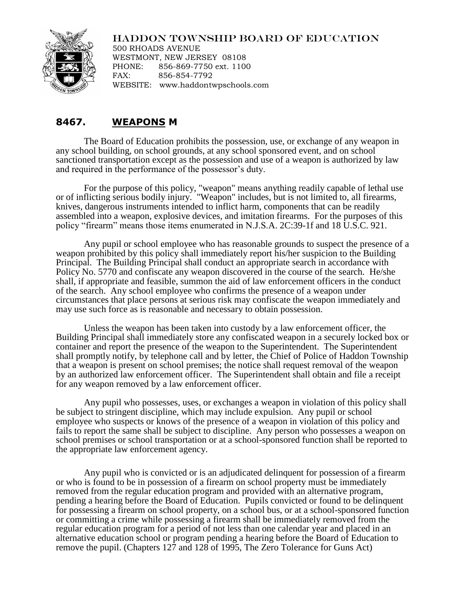## HADDON TOWNSHIP BOARD OF EDUCATION



500 RHOADS AVENUE WESTMONT, NEW JERSEY 08108 PHONE: 856-869-7750 ext. 1100 FAX: 856-854-7792 WEBSITE: www.haddontwpschools.com

## **8467. WEAPONS M**

The Board of Education prohibits the possession, use, or exchange of any weapon in any school building, on school grounds, at any school sponsored event, and on school sanctioned transportation except as the possession and use of a weapon is authorized by law and required in the performance of the possessor's duty.

For the purpose of this policy, "weapon" means anything readily capable of lethal use or of inflicting serious bodily injury. "Weapon" includes, but is not limited to, all firearms, knives, dangerous instruments intended to inflict harm, components that can be readily assembled into a weapon, explosive devices, and imitation firearms. For the purposes of this policy "firearm" means those items enumerated in N.J.S.A. 2C:39-1f and 18 U.S.C. 921.

Any pupil or school employee who has reasonable grounds to suspect the presence of a weapon prohibited by this policy shall immediately report his/her suspicion to the Building Principal. The Building Principal shall conduct an appropriate search in accordance with Policy No. 5770 and confiscate any weapon discovered in the course of the search. He/she shall, if appropriate and feasible, summon the aid of law enforcement officers in the conduct of the search. Any school employee who confirms the presence of a weapon under circumstances that place persons at serious risk may confiscate the weapon immediately and may use such force as is reasonable and necessary to obtain possession.

Unless the weapon has been taken into custody by a law enforcement officer, the Building Principal shall immediately store any confiscated weapon in a securely locked box or container and report the presence of the weapon to the Superintendent. The Superintendent shall promptly notify, by telephone call and by letter, the Chief of Police of Haddon Township that a weapon is present on school premises; the notice shall request removal of the weapon by an authorized law enforcement officer. The Superintendent shall obtain and file a receipt for any weapon removed by a law enforcement officer.

Any pupil who possesses, uses, or exchanges a weapon in violation of this policy shall be subject to stringent discipline, which may include expulsion. Any pupil or school employee who suspects or knows of the presence of a weapon in violation of this policy and fails to report the same shall be subject to discipline. Any person who possesses a weapon on school premises or school transportation or at a school-sponsored function shall be reported to the appropriate law enforcement agency.

Any pupil who is convicted or is an adjudicated delinquent for possession of a firearm or who is found to be in possession of a firearm on school property must be immediately removed from the regular education program and provided with an alternative program, pending a hearing before the Board of Education. Pupils convicted or found to be delinquent for possessing a firearm on school property, on a school bus, or at a school-sponsored function or committing a crime while possessing a firearm shall be immediately removed from the regular education program for a period of not less than one calendar year and placed in an alternative education school or program pending a hearing before the Board of Education to remove the pupil. (Chapters 127 and 128 of 1995, The Zero Tolerance for Guns Act)